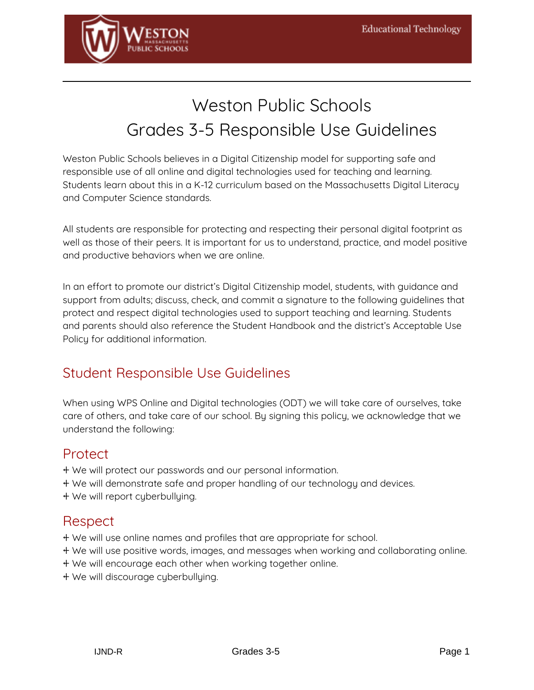

# Weston Public Schools Grades 3-5 Responsible Use Guidelines

Weston Public Schools believes in a Digital Citizenship model for supporting safe and responsible use of all online and digital technologies used for teaching and learning. Students learn about this in a K-12 curriculum based on the Massachusetts Digital Literacy and Computer Science standards.

All students are responsible for protecting and respecting their personal digital footprint as well as those of their peers. It is important for us to understand, practice, and model positive and productive behaviors when we are online.

In an effort to promote our district's Digital Citizenship model, students, with guidance and support from adults; discuss, check, and commit a signature to the following guidelines that protect and respect digital technologies used to support teaching and learning. Students and parents should also reference the Student Handbook and the district's Acceptable Use Policy for additional information.

#### Student Responsible Use Guidelines

When using WPS Online and Digital technologies (ODT) we will take care of ourselves, take care of others, and take care of our school. By signing this policy, we acknowledge that we understand the following:

#### Protect

- ⍅ We will protect our passwords and our personal information.
- ⍅ We will demonstrate safe and proper handling of our technology and devices.
- ⍅ We will report cyberbullying.

#### Respect

- ⍅ We will use online names and profiles that are appropriate for school.
- ⍅ We will use positive words, images, and messages when working and collaborating online.
- ⍅ We will encourage each other when working together online.
- ⍅ We will discourage cyberbullying.